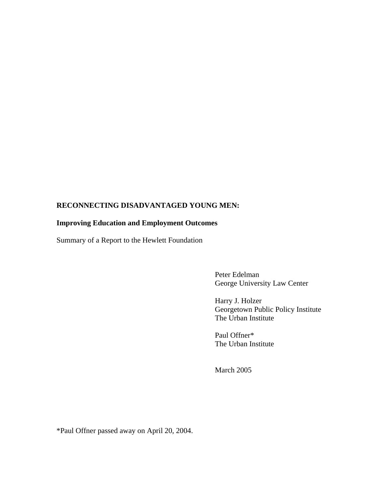# **RECONNECTING DISADVANTAGED YOUNG MEN:**

## **Improving Education and Employment Outcomes**

Summary of a Report to the Hewlett Foundation

 Peter Edelman George University Law Center

 Harry J. Holzer Georgetown Public Policy Institute The Urban Institute

 Paul Offner\* The Urban Institute

March 2005

\*Paul Offner passed away on April 20, 2004.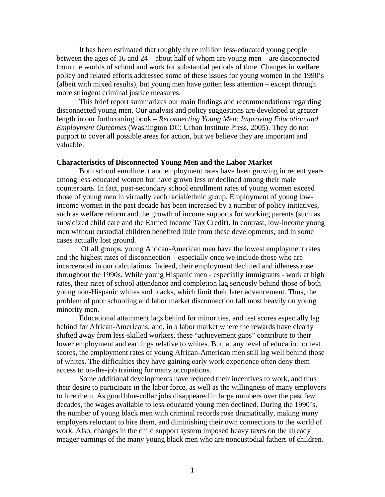It has been estimated that roughly three million less-educated young people between the ages of 16 and 24 – about half of whom are young men – are disconnected from the worlds of school and work for substantial periods of time. Changes in welfare policy and related efforts addressed some of these issues for young women in the 1990's (albeit with mixed results), but young men have gotten less attention – except through more stringent criminal justice measures.

This brief report summarizes our main findings and recommendations regarding disconnected young men. Our analysis and policy suggestions are developed at greater length in our forthcoming book – *Reconnecting Young Men: Improving Education and Employment Outcomes* (Washington DC: Urban Institute Press, 2005). They do not purport to cover all possible areas for action, but we believe they are important and valuable.

#### **Characteristics of Disconnected Young Men and the Labor Market**

Both school enrollment and employment rates have been growing in recent years among less-educated women but have grown less or declined among their male counterparts. In fact, post-secondary school enrollment rates of young women exceed those of young men in virtually each racial/ethnic group. Employment of young lowincome women in the past decade has been increased by a number of policy initiatives, such as welfare reform and the growth of income supports for working parents (such as subsidized child care and the Earned Income Tax Credit). In contrast, low-income young men without custodial children benefited little from these developments, and in some cases actually lost ground.

 Of all groups, young African-American men have the lowest employment rates and the highest rates of disconnection – especially once we include those who are incarcerated in our calculations. Indeed, their employment declined and idleness rose throughout the 1990s. While young Hispanic men - especially immigrants - work at high rates, their rates of school attendance and completion lag seriously behind those of both young non-Hispanic whites and blacks, which limit their later advancement. Thus, the problem of poor schooling and labor market disconnection fall most heavily on young minority men.

Educational attainment lags behind for minorities, and test scores especially lag behind for African-Americans; and, in a labor market where the rewards have clearly shifted away from less-skilled workers, these "achievement gaps" contribute to their lower employment and earnings relative to whites. But, at any level of education or test scores, the employment rates of young African-American men still lag well behind those of whites. The difficulties they have gaining early work experience often deny them access to on-the-job training for many occupations.

Some additional developments have reduced their incentives to work, and thus their desire to participate in the labor force, as well as the willingness of many employers to hire them. As good blue-collar jobs disappeared in large numbers over the past few decades, the wages available to less-educated young men declined. During the 1990's, the number of young black men with criminal records rose dramatically, making many employers reluctant to hire them, and diminishing their own connections to the world of work. Also, changes in the child support system imposed heavy taxes on the already meager earnings of the many young black men who are noncustodial fathers of children.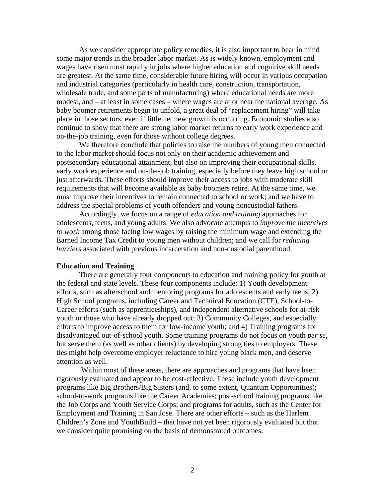As we consider appropriate policy remedies, it is also important to bear in mind some major trends in the broader labor market. As is widely known, employment and wages have risen most rapidly in jobs where higher education and cognitive skill needs are greatest. At the same time, considerable future hiring will occur in various occupation and industrial categories (particularly in health care, construction, transportation, wholesale trade, and some parts of manufacturing) where educational needs are more modest, and – at least in some cases – where wages are at or near the national average. As baby boomer retirements begin to unfold, a great deal of "replacement hiring" will take place in those sectors, even if little net new growth is occurring. Economic studies also continue to show that there are strong labor market returns to early work experience and on-the-job training, even for those without college degrees.

We therefore conclude that policies to raise the numbers of young men connected to the labor market should focus not only on their academic achievement and postsecondary educational attainment, but also on improving their occupational skills, early work experience and on-the-job training, especially before they leave high school or just afterwards. These efforts should improve their access to jobs with moderate skill requirements that will become available as baby boomers retire. At the same time, we must improve their incentives to remain connected to school or work; and we have to address the special problems of youth offenders and young noncustodial fathers.

Accordingly, we focus on a range of *education and training* approaches for adolescents, teens, and young adults. We also advocate attempts to *improve the incentives to work* among those facing low wages by raising the minimum wage and extending the Earned Income Tax Credit to young men without children; and we call for *reducing barriers* associated with previous incarceration and non-custodial parenthood.

#### **Education and Training**

There are generally four components to education and training policy for youth at the federal and state levels. These four components include: 1) Youth development efforts, such as afterschool and mentoring programs for adolescents and early teens; 2) High School programs, including Career and Technical Education (CTE), School-to-Career efforts (such as apprenticeships), and independent alternative schools for at-risk youth or those who have already dropped out; 3) Community Colleges, and especially efforts to improve access to them for low-income youth; and 4) Training programs for disadvantaged out-of-school youth. Some training programs do not focus on youth *per se*, but serve them (as well as other clients) by developing strong ties to employers. These ties might help overcome employer reluctance to hire young black men, and deserve attention as well.

 Within most of these areas, there are approaches and programs that have been rigorously evaluated and appear to be cost-effective. These include youth development programs like Big Brothers/Big Sisters (and, to some extent, Quantum Opportunities); school-to-work programs like the Career Academies; post-school training programs like the Job Corps and Youth Service Corps; and programs for adults, such as the Center for Employment and Training in San Jose. There are other efforts – such as the Harlem Children's Zone and YouthBuild – that have not yet been rigorously evaluated but that we consider quite promising on the basis of demonstrated outcomes.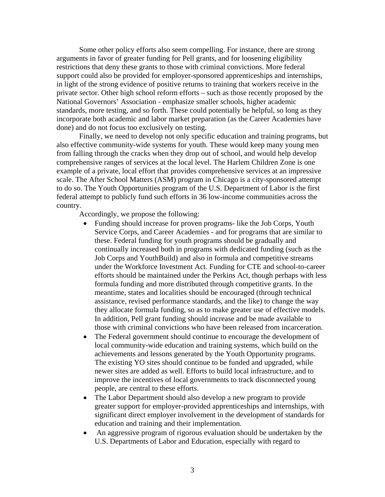Some other policy efforts also seem compelling. For instance, there are strong arguments in favor of greater funding for Pell grants, and for loosening eligibility restrictions that deny these grants to those with criminal convictions. More federal support could also be provided for employer-sponsored apprenticeships and internships, in light of the strong evidence of positive returns to training that workers receive in the private sector. Other high school reform efforts – such as those recently proposed by the National Governors' Association - emphasize smaller schools, higher academic standards, more testing, and so forth. These could potentially be helpful, so long as they incorporate both academic and labor market preparation (as the Career Academies have done) and do not focus too exclusively on testing.

Finally, we need to develop not only specific education and training programs, but also effective community-wide systems for youth. These would keep many young men from falling through the cracks when they drop out of school, and would help develop comprehensive ranges of services at the local level. The Harlem Children Zone is one example of a private, local effort that provides comprehensive services at an impressive scale. The After School Matters (ASM) program in Chicago is a city-sponsored attempt to do so. The Youth Opportunities program of the U.S. Department of Labor is the first federal attempt to publicly fund such efforts in 36 low-income communities across the country.

Accordingly, we propose the following:

- Funding should increase for proven programs- like the Job Corps, Youth Service Corps, and Career Academies - and for programs that are similar to these. Federal funding for youth programs should be gradually and continually increased both in programs with dedicated funding (such as the Job Corps and YouthBuild) and also in formula and competitive streams under the Workforce Investment Act. Funding for CTE and school-to-career efforts should be maintained under the Perkins Act, though perhaps with less formula funding and more distributed through competitive grants. In the meantime, states and localities should be encouraged (through technical assistance, revised performance standards, and the like) to change the way they allocate formula funding, so as to make greater use of effective models. In addition, Pell grant funding should increase and be made available to those with criminal convictions who have been released from incarceration.
- The Federal government should continue to encourage the development of local community-wide education and training systems, which build on the achievements and lessons generated by the Youth Opportunity programs. The existing YO sites should continue to be funded and upgraded, while newer sites are added as well. Efforts to build local infrastructure, and to improve the incentives of local governments to track disconnected young people, are central to these efforts.
- The Labor Department should also develop a new program to provide greater support for employer-provided apprenticeships and internships, with significant direct employer involvement in the development of standards for education and training and their implementation.
- An aggressive program of rigorous evaluation should be undertaken by the U.S. Departments of Labor and Education, especially with regard to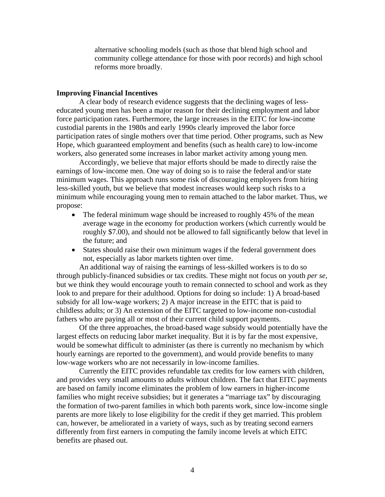alternative schooling models (such as those that blend high school and community college attendance for those with poor records) and high school reforms more broadly.

#### **Improving Financial Incentives**

A clear body of research evidence suggests that the declining wages of lesseducated young men has been a major reason for their declining employment and labor force participation rates. Furthermore, the large increases in the EITC for low-income custodial parents in the 1980s and early 1990s clearly improved the labor force participation rates of single mothers over that time period. Other programs, such as New Hope, which guaranteed employment and benefits (such as health care) to low-income workers, also generated some increases in labor market activity among young men.

 Accordingly, we believe that major efforts should be made to directly raise the earnings of low-income men. One way of doing so is to raise the federal and/or state minimum wages. This approach runs some risk of discouraging employers from hiring less-skilled youth, but we believe that modest increases would keep such risks to a minimum while encouraging young men to remain attached to the labor market. Thus, we propose:

- The federal minimum wage should be increased to roughly 45% of the mean average wage in the economy for production workers (which currently would be roughly \$7.00), and should not be allowed to fall significantly below that level in the future; and
- States should raise their own minimum wages if the federal government does not, especially as labor markets tighten over time.

An additional way of raising the earnings of less-skilled workers is to do so through publicly-financed subsidies or tax credits. These might not focus on youth *per se*, but we think they would encourage youth to remain connected to school and work as they look to and prepare for their adulthood. Options for doing so include: 1) A broad-based subsidy for all low-wage workers; 2) A major increase in the EITC that is paid to childless adults; or 3) An extension of the EITC targeted to low-income non-custodial fathers who are paying all or most of their current child support payments.

Of the three approaches, the broad-based wage subsidy would potentially have the largest effects on reducing labor market inequality. But it is by far the most expensive, would be somewhat difficult to administer (as there is currently no mechanism by which hourly earnings are reported to the government), and would provide benefits to many low-wage workers who are not necessarily in low-income families.

Currently the EITC provides refundable tax credits for low earners with children, and provides very small amounts to adults without children. The fact that EITC payments are based on family income eliminates the problem of low earners in higher-income families who might receive subsidies; but it generates a "marriage tax" by discouraging the formation of two-parent families in which both parents work, since low-income single parents are more likely to lose eligibility for the credit if they get married. This problem can, however, be ameliorated in a variety of ways, such as by treating second earners differently from first earners in computing the family income levels at which EITC benefits are phased out.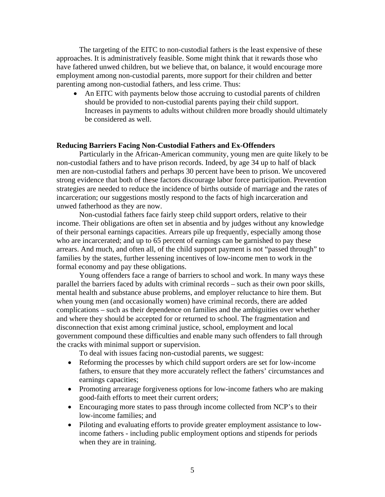The targeting of the EITC to non-custodial fathers is the least expensive of these approaches. It is administratively feasible. Some might think that it rewards those who have fathered unwed children, but we believe that, on balance, it would encourage more employment among non-custodial parents, more support for their children and better parenting among non-custodial fathers, and less crime. Thus:

• An EITC with payments below those accruing to custodial parents of children should be provided to non-custodial parents paying their child support. Increases in payments to adults without children more broadly should ultimately be considered as well.

#### **Reducing Barriers Facing Non-Custodial Fathers and Ex-Offenders**

Particularly in the African-American community, young men are quite likely to be non-custodial fathers and to have prison records. Indeed, by age 34 up to half of black men are non-custodial fathers and perhaps 30 percent have been to prison. We uncovered strong evidence that both of these factors discourage labor force participation. Prevention strategies are needed to reduce the incidence of births outside of marriage and the rates of incarceration; our suggestions mostly respond to the facts of high incarceration and unwed fatherhood as they are now.

Non-custodial fathers face fairly steep child support orders, relative to their income. Their obligations are often set in absentia and by judges without any knowledge of their personal earnings capacities. Arrears pile up frequently, especially among those who are incarcerated; and up to 65 percent of earnings can be garnished to pay these arrears. And much, and often all, of the child support payment is not "passed through" to families by the states, further lessening incentives of low-income men to work in the formal economy and pay these obligations.

Young offenders face a range of barriers to school and work. In many ways these parallel the barriers faced by adults with criminal records – such as their own poor skills, mental health and substance abuse problems, and employer reluctance to hire them. But when young men (and occasionally women) have criminal records, there are added complications – such as their dependence on families and the ambiguities over whether and where they should be accepted for or returned to school. The fragmentation and disconnection that exist among criminal justice, school, employment and local government compound these difficulties and enable many such offenders to fall through the cracks with minimal support or supervision.

To deal with issues facing non-custodial parents, we suggest:

- Reforming the processes by which child support orders are set for low-income fathers, to ensure that they more accurately reflect the fathers' circumstances and earnings capacities;
- Promoting arrearage forgiveness options for low-income fathers who are making good-faith efforts to meet their current orders;
- Encouraging more states to pass through income collected from NCP's to their low-income families; and
- Piloting and evaluating efforts to provide greater employment assistance to lowincome fathers - including public employment options and stipends for periods when they are in training.